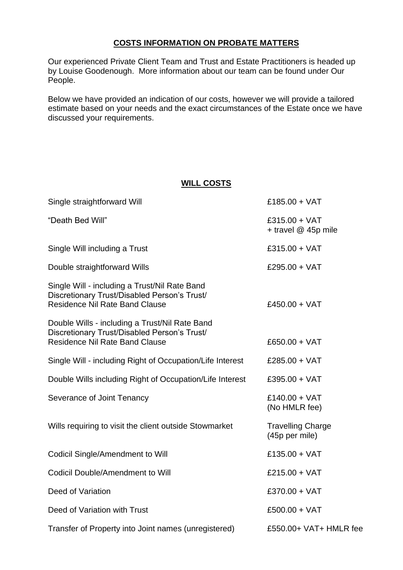# **COSTS INFORMATION ON PROBATE MATTERS**

Our experienced Private Client Team and Trust and Estate Practitioners is headed up by Louise Goodenough. More information about our team can be found under Our People.

Below we have provided an indication of our costs, however we will provide a tailored estimate based on your needs and the exact circumstances of the Estate once we have discussed your requirements.

### **WILL COSTS**

| Single straightforward Will                                                                                                             | £185.00 + $VAT$                            |
|-----------------------------------------------------------------------------------------------------------------------------------------|--------------------------------------------|
| "Death Bed Will"                                                                                                                        | £315.00 + $VAT$<br>+ travel @ 45p mile     |
| Single Will including a Trust                                                                                                           | £315.00 + $VAT$                            |
| Double straightforward Wills                                                                                                            | £295.00 + $VAT$                            |
| Single Will - including a Trust/Nil Rate Band<br>Discretionary Trust/Disabled Person's Trust/<br><b>Residence Nil Rate Band Clause</b>  | £450.00 + VAT                              |
| Double Wills - including a Trust/Nil Rate Band<br>Discretionary Trust/Disabled Person's Trust/<br><b>Residence Nil Rate Band Clause</b> | £650.00 + VAT                              |
| Single Will - including Right of Occupation/Life Interest                                                                               | £285.00 + VAT                              |
| Double Wills including Right of Occupation/Life Interest                                                                                | £395.00 + VAT                              |
| Severance of Joint Tenancy                                                                                                              | $£140.00 + VAT$<br>(No HMLR fee)           |
| Wills requiring to visit the client outside Stowmarket                                                                                  | <b>Travelling Charge</b><br>(45p per mile) |
| <b>Codicil Single/Amendment to Will</b>                                                                                                 | £135.00 + VAT                              |
| <b>Codicil Double/Amendment to Will</b>                                                                                                 | £215.00 + VAT                              |
| Deed of Variation                                                                                                                       | £370.00 + VAT                              |
| Deed of Variation with Trust                                                                                                            | $£500.00 + VAT$                            |
| Transfer of Property into Joint names (unregistered)                                                                                    | £550.00+ VAT+ HMLR fee                     |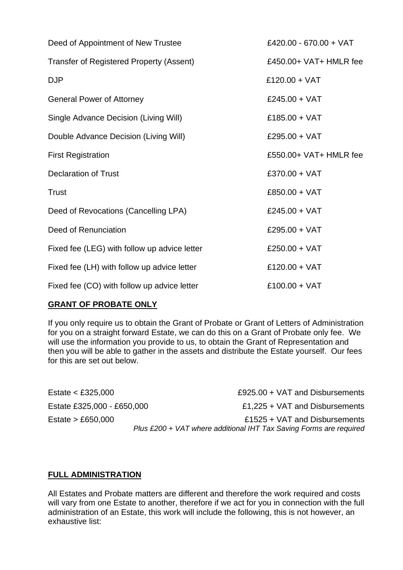| Deed of Appointment of New Trustee              | £420.00 - 670.00 + VAT |
|-------------------------------------------------|------------------------|
| <b>Transfer of Registered Property (Assent)</b> | £450.00+ VAT+ HMLR fee |
| <b>DJP</b>                                      | £120.00 + VAT          |
| <b>General Power of Attorney</b>                | £245.00 + $VAT$        |
| Single Advance Decision (Living Will)           | £185.00 + VAT          |
| Double Advance Decision (Living Will)           | £295.00 + $VAT$        |
| <b>First Registration</b>                       | £550.00+ VAT+ HMLR fee |
| <b>Declaration of Trust</b>                     | £370.00 + VAT          |
| <b>Trust</b>                                    | £850.00 + $VAT$        |
| Deed of Revocations (Cancelling LPA)            | £245.00 + $VAT$        |
| Deed of Renunciation                            | £295.00 + $VAT$        |
| Fixed fee (LEG) with follow up advice letter    | £250.00 + $VAT$        |
| Fixed fee (LH) with follow up advice letter     | £120.00 + VAT          |
| Fixed fee (CO) with follow up advice letter     | $£100.00 + VAT$        |

# **GRANT OF PROBATE ONLY**

If you only require us to obtain the Grant of Probate or Grant of Letters of Administration for you on a straight forward Estate, we can do this on a Grant of Probate only fee. We will use the information you provide to us, to obtain the Grant of Representation and then you will be able to gather in the assets and distribute the Estate yourself. Our fees for this are set out below.

Estate < £325,000  $\text{E925.00} + \text{VAT}$  and Disbursements Estate £325,000 - £650,000 **External Extending Left E1,225 + VAT and Disbursements** Estate > £650,000 £1525 + VAT and Disbursements *Plus £200 + VAT where additional IHT Tax Saving Forms are required*

# **FULL ADMINISTRATION**

All Estates and Probate matters are different and therefore the work required and costs will vary from one Estate to another, therefore if we act for you in connection with the full administration of an Estate, this work will include the following, this is not however, an exhaustive list: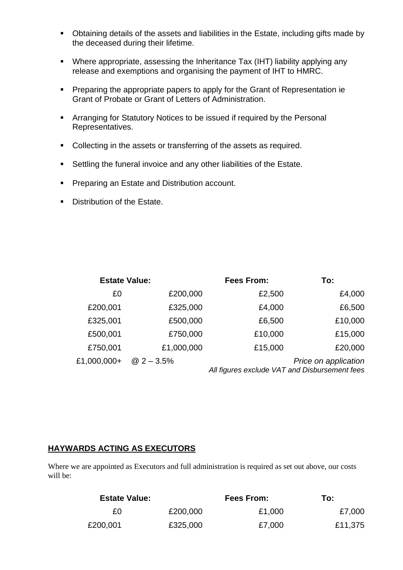- Obtaining details of the assets and liabilities in the Estate, including gifts made by the deceased during their lifetime.
- Where appropriate, assessing the Inheritance Tax (IHT) liability applying any release and exemptions and organising the payment of IHT to HMRC.
- Preparing the appropriate papers to apply for the Grant of Representation ie Grant of Probate or Grant of Letters of Administration.
- Arranging for Statutory Notices to be issued if required by the Personal Representatives.
- Collecting in the assets or transferring of the assets as required.
- Settling the funeral invoice and any other liabilities of the Estate.
- **Preparing an Estate and Distribution account.**
- Distribution of the Estate.

| <b>Estate Value:</b> |              | <b>Fees From:</b>                             | To:                  |
|----------------------|--------------|-----------------------------------------------|----------------------|
| £0                   | £200,000     | £2,500                                        | £4,000               |
| £200,001             | £325,000     | £4,000                                        | £6,500               |
| £325,001             | £500,000     | £6,500                                        | £10,000              |
| £500,001             | £750,000     | £10,000                                       | £15,000              |
| £750,001             | £1,000,000   | £15,000                                       | £20,000              |
| £1,000,000+          | $@2 - 3.5\%$ | All figures exclude VAT and Disbursement fees | Price on application |

# **HAYWARDS ACTING AS EXECUTORS**

Where we are appointed as Executors and full administration is required as set out above, our costs will be:

| <b>Estate Value:</b> |          | Fees From: | To:     |
|----------------------|----------|------------|---------|
| £0                   | £200,000 | £1,000     | £7,000  |
| £200,001             | £325,000 | £7,000     | £11,375 |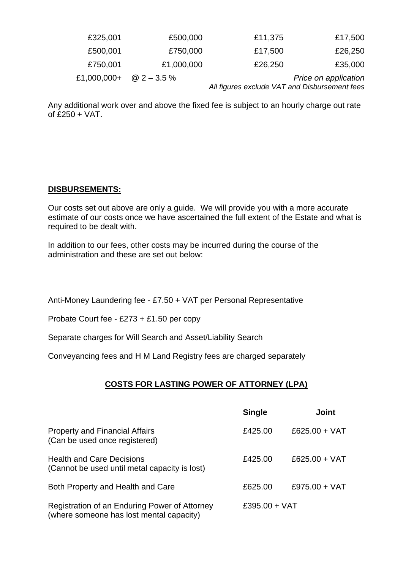| £17,500              | £11,375                                       | £500,000     | £325,001    |
|----------------------|-----------------------------------------------|--------------|-------------|
| £26,250              | £17,500                                       | £750,000     | £500,001    |
| £35,000              | £26,250                                       | £1,000,000   | £750,001    |
| Price on application | All figures exclude VAT and Disbursement fees | $@2 - 3.5\%$ | £1,000,000+ |

Any additional work over and above the fixed fee is subject to an hourly charge out rate of £250 + VAT.

### **DISBURSEMENTS:**

Our costs set out above are only a guide. We will provide you with a more accurate estimate of our costs once we have ascertained the full extent of the Estate and what is required to be dealt with.

In addition to our fees, other costs may be incurred during the course of the administration and these are set out below:

Anti-Money Laundering fee - £7.50 + VAT per Personal Representative

Probate Court fee - £273 + £1.50 per copy

Separate charges for Will Search and Asset/Liability Search

Conveyancing fees and H M Land Registry fees are charged separately

### **COSTS FOR LASTING POWER OF ATTORNEY (LPA)**

|                                                                                           | <b>Single</b> | <b>Joint</b>    |
|-------------------------------------------------------------------------------------------|---------------|-----------------|
| <b>Property and Financial Affairs</b><br>(Can be used once registered)                    | £425.00       | £625.00 + $VAT$ |
| <b>Health and Care Decisions</b><br>(Cannot be used until metal capacity is lost)         | £425.00       | £625.00 + $VAT$ |
| Both Property and Health and Care                                                         | £625.00       | £975.00 + $VAT$ |
| Registration of an Enduring Power of Attorney<br>(where someone has lost mental capacity) | £395.00 + VAT |                 |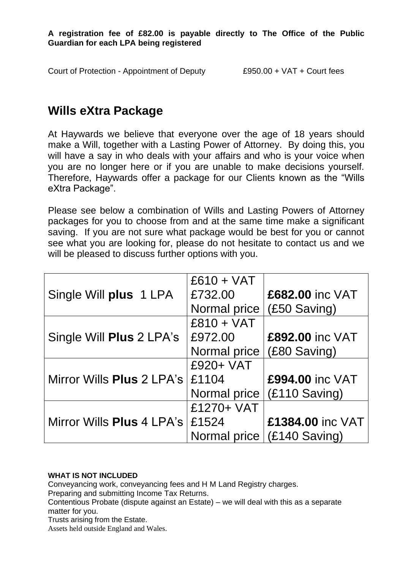**A registration fee of £82.00 is payable directly to The Office of the Public Guardian for each LPA being registered**

Court of Protection - Appointment of Deputy £950.00 + VAT + Court fees

# **Wills eXtra Package**

At Haywards we believe that everyone over the age of 18 years should make a Will, together with a Lasting Power of Attorney. By doing this, you will have a say in who deals with your affairs and who is your voice when you are no longer here or if you are unable to make decisions yourself. Therefore, Haywards offer a package for our Clients known as the "Wills eXtra Package".

Please see below a combination of Wills and Lasting Powers of Attorney packages for you to choose from and at the same time make a significant saving. If you are not sure what package would be best for you or cannot see what you are looking for, please do not hesitate to contact us and we will be pleased to discuss further options with you.

| $£610 + VAT$                      |                              |
|-----------------------------------|------------------------------|
| £732.00                           | £682.00 inc VAT              |
| Normal price                      | (£50 Saving)                 |
| $£810 + VAT$                      |                              |
| £972.00                           | £892.00 inc VAT              |
| Normal price                      | (£80 Saving)                 |
| £920+ VAT                         |                              |
| £1104                             | £994.00 inc VAT              |
| Normal price                      | $(E110 \text{ Saving})$      |
| £1270+ VAT                        |                              |
| Mirror Wills Plus 4 LPA's   £1524 | £1384.00 inc VAT             |
|                                   | Normal price   (£140 Saving) |
|                                   |                              |

### **WHAT IS NOT INCLUDED**

Conveyancing work, conveyancing fees and H M Land Registry charges. Preparing and submitting Income Tax Returns. Contentious Probate (dispute against an Estate) – we will deal with this as a separate matter for you. Trusts arising from the Estate. Assets held outside England and Wales.